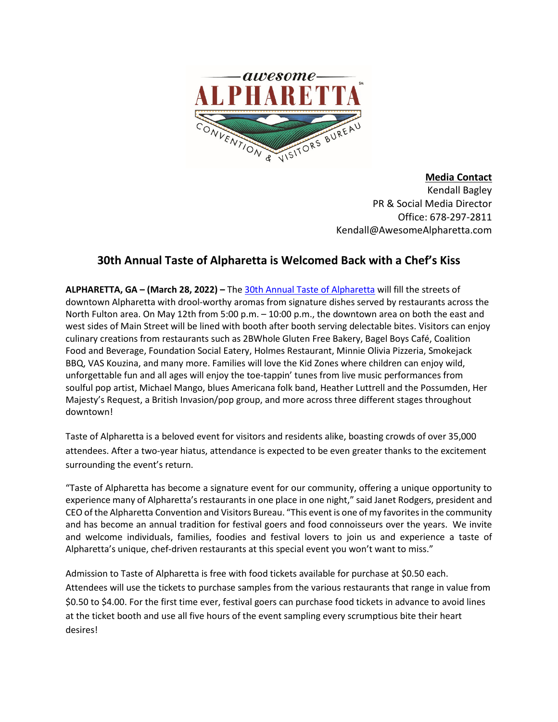

**Media Contact**  Kendall Bagley PR & Social Media Director Office: 678-297-2811 Kendall@AwesomeAlpharetta.com

## **30th Annual Taste of Alpharetta is Welcomed Back with a Chef's Kiss**

**ALPHARETTA, GA – (March 28, 2022) –** The [30th Annual Taste of Alpharetta](https://www.awesomealpharetta.com/taste-of-alpharetta/) will fill the streets of downtown Alpharetta with drool-worthy aromas from signature dishes served by restaurants across the North Fulton area. On May 12th from 5:00 p.m. – 10:00 p.m., the downtown area on both the east and west sides of Main Street will be lined with booth after booth serving delectable bites. Visitors can enjoy culinary creations from restaurants such as 2BWhole Gluten Free Bakery, Bagel Boys Café, Coalition Food and Beverage, Foundation Social Eatery, Holmes Restaurant, Minnie Olivia Pizzeria, Smokejack BBQ, VAS Kouzina, and many more. Families will love the Kid Zones where children can enjoy wild, unforgettable fun and all ages will enjoy the toe-tappin' tunes from live music performances from soulful pop artist, Michael Mango, blues Americana folk band, Heather Luttrell and the Possumden, Her Majesty's Request, a British Invasion/pop group, and more across three different stages throughout downtown!

Taste of Alpharetta is a beloved event for visitors and residents alike, boasting crowds of over 35,000 attendees. After a two-year hiatus, attendance is expected to be even greater thanks to the excitement surrounding the event's return.

"Taste of Alpharetta has become a signature event for our community, offering a unique opportunity to experience many of Alpharetta's restaurants in one place in one night," said Janet Rodgers, president and CEO of the Alpharetta Convention and Visitors Bureau. "This event is one of my favorites in the community and has become an annual tradition for festival goers and food connoisseurs over the years. We invite and welcome individuals, families, foodies and festival lovers to join us and experience a taste of Alpharetta's unique, chef-driven restaurants at this special event you won't want to miss."

Admission to Taste of Alpharetta is free with food tickets available for purchase at \$0.50 each. Attendees will use the tickets to purchase samples from the various restaurants that range in value from \$0.50 to \$4.00. For the first time ever, festival goers can purchase food tickets in advance to avoid lines at the ticket booth and use all five hours of the event sampling every scrumptious bite their heart desires!